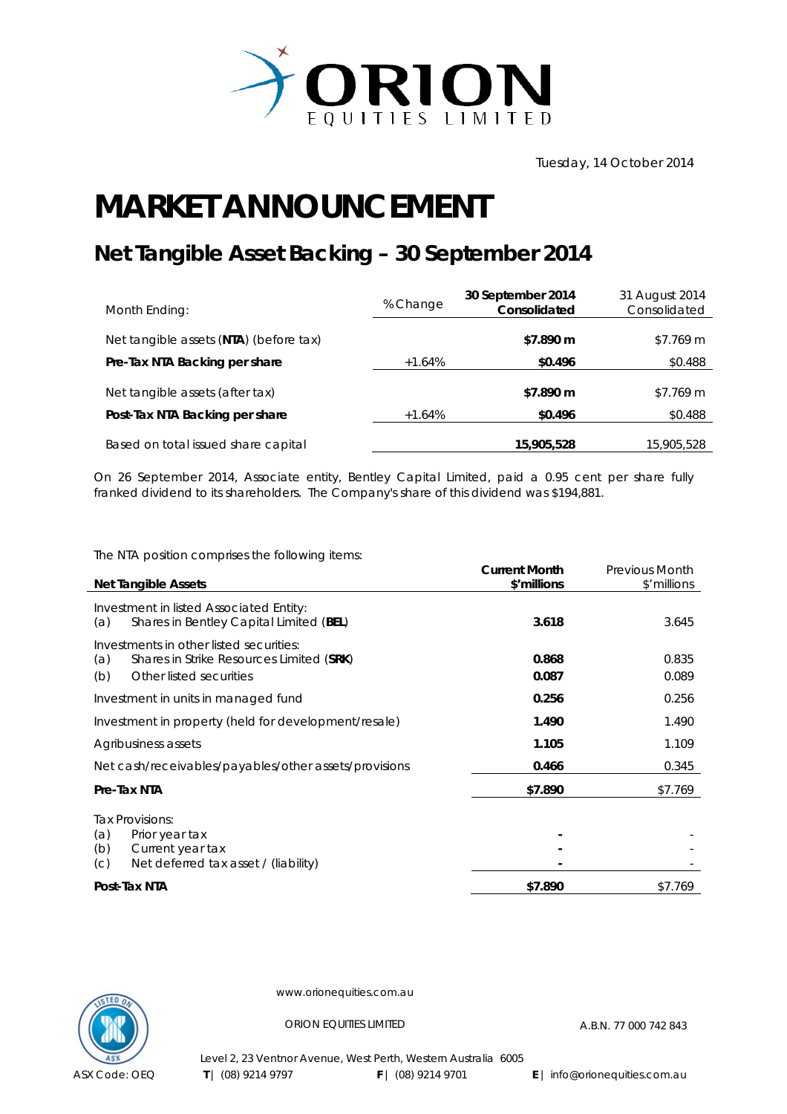

## **MARKET ANNOUNCEMENT**

## **Net Tangible Asset Backing – 30 September 2014**

| Month Ending:                          | % Change | 30 September 2014<br>Consolidated | 31 August 2014<br>Consolidated |
|----------------------------------------|----------|-----------------------------------|--------------------------------|
| Net tangible assets (NTA) (before tax) |          | \$7.890 m                         | \$7.769 m                      |
| Pre-Tax NTA Backing per share          | $+1.64%$ | \$0.496                           | \$0.488                        |
| Net tangible assets (after tax)        |          | \$7.890 m                         | \$7.769 m                      |
| Post-Tax NTA Backing per share         | $+1.64%$ | \$0.496                           | \$0.488                        |
| Based on total issued share capital    |          | 15,905,528                        | 15,905,528                     |

On 26 September 2014, Associate entity, Bentley Capital Limited, paid a 0.95 cent per share fully franked dividend to its shareholders. The Company's share of this dividend was \$194,881.

The NTA position comprises the following items:

|                                                                                                                              | <b>Current Month</b> | <b>Previous Month</b> |
|------------------------------------------------------------------------------------------------------------------------------|----------------------|-----------------------|
| <b>Net Tangible Assets</b>                                                                                                   | \$'millions          | \$'millions           |
| Investment in listed Associated Entity:<br>Shares in Bentley Capital Limited (BEL)<br>(a)                                    | 3.618                | 3.645                 |
| Investments in other listed securities:<br>(a)<br>Shares in Strike Resources Limited (SRK)<br>Other listed securities<br>(b) | 0.868<br>0.087       | 0.835<br>0.089        |
| Investment in units in managed fund                                                                                          | 0.256                | 0.256                 |
| Investment in property (held for development/resale)                                                                         | 1.490                | 1.490                 |
| Agribusiness assets                                                                                                          | 1.105                | 1.109                 |
| Net cash/receivables/payables/other assets/provisions                                                                        | 0.466                | 0.345                 |
| Pre-Tax NTA                                                                                                                  | \$7.890              | \$7.769               |
| Tax Provisions:<br>(a)<br>Prior year tax<br>(b)<br>Current year tax<br>Net deferred tax asset / (liability)<br>(c)           |                      |                       |
| Post-Tax NTA                                                                                                                 | \$7.890              | \$7.769               |



www.orionequities.com.au

ORION EQUITIES LIMITED A.B.N. 77 000 742 843

Level 2, 23 Ventnor Avenue, West Perth, Western Australia 6005  **T** | (08) 9214 9797 **F** | (08) 9214 9701 **E** | info@orionequities.com.au